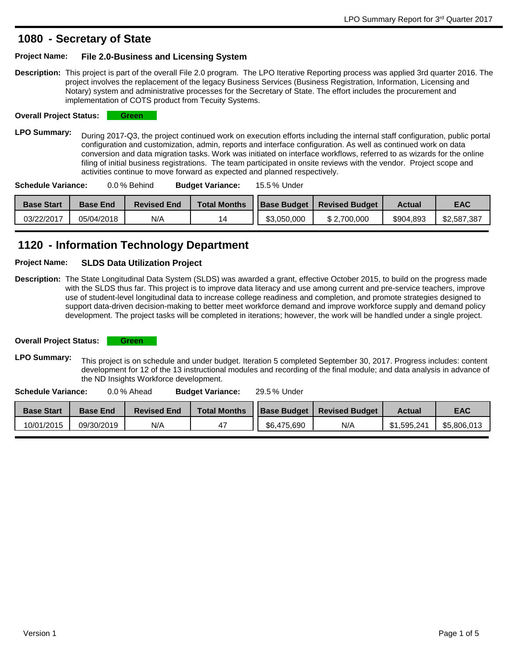### **Secretary of State 1080 -**

#### **Project Name: File 2.0-Business and Licensing System**

**Description:** This project is part of the overall File 2.0 program. The LPO Iterative Reporting process was applied 3rd quarter 2016. The project involves the replacement of the legacy Business Services (Business Registration, Information, Licensing and Notary) system and administrative processes for the Secretary of State. The effort includes the procurement and implementation of COTS product from Tecuity Systems.

**Overall Project Status: Green** 

LPO Summary: During 2017-Q3, the project continued work on execution efforts including the internal staff configuration, public portal configuration and customization, admin, reports and interface configuration. As well as continued work on data conversion and data migration tasks. Work was initiated on interface workflows, referred to as wizards for the online filing of initial business registrations. The team participated in onsite reviews with the vendor. Project scope and activities continue to move forward as expected and planned respectively.

| <b>Base Start</b> | <b>Base End</b> | <b>Revised End</b> | <b>Total Months</b> | <b>Base Budget</b> | <b>Revised Budget</b> | <b>Actual</b> | EAC         |
|-------------------|-----------------|--------------------|---------------------|--------------------|-----------------------|---------------|-------------|
| 03/22/2017        | 05/04/2018      | N/A                | 14                  | \$3,050,000        | \$2.700.000           | \$904.893     | \$2,587,387 |

# **Information Technology Department 1120 -**

#### **Project Name: SLDS Data Utilization Project**

**Description:** The State Longitudinal Data System (SLDS) was awarded a grant, effective October 2015, to build on the progress made with the SLDS thus far. This project is to improve data literacy and use among current and pre-service teachers, improve use of student-level longitudinal data to increase college readiness and completion, and promote strategies designed to support data-driven decision-making to better meet workforce demand and improve workforce supply and demand policy development. The project tasks will be completed in iterations; however, the work will be handled under a single project.

**Overall Project Status: Green** 

LPO Summary: This project is on schedule and under budget. Iteration 5 completed September 30, 2017. Progress includes: content development for 12 of the 13 instructional modules and recording of the final module; and data analysis in advance of

the ND Insights Workforce development.

**Budget Variance: Schedule Variance:** 0.0 % Ahead **Budget Variance:** 29.5 % Under

| <b>Base Start</b> | <b>Base End</b> | <b>Revised End</b> | <b>Total Months</b> | <b>Base Budget</b> | <b>Revised Budget</b> | <b>Actual</b> | EAC         |
|-------------------|-----------------|--------------------|---------------------|--------------------|-----------------------|---------------|-------------|
| 10/01/2015        | 09/30/2019      | N/A                | 47                  | \$6,475,690        | N/A                   | \$1.595.241   | \$5,806,013 |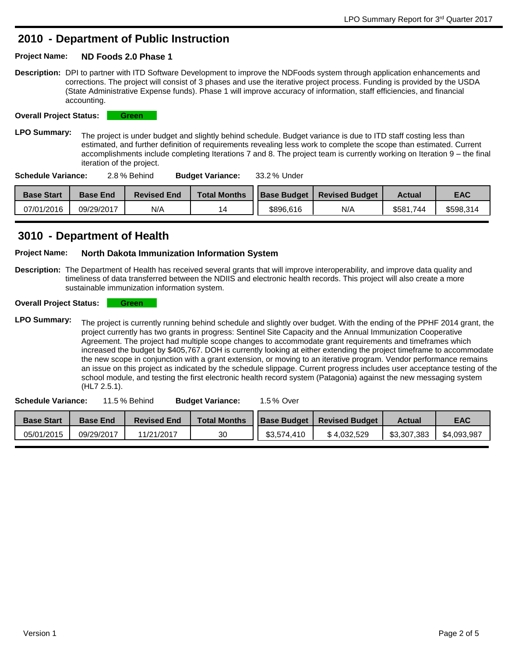# **Department of Public Instruction 2010 -**

#### **Project Name: ND Foods 2.0 Phase 1**

**Description:** DPI to partner with ITD Software Development to improve the NDFoods system through application enhancements and corrections. The project will consist of 3 phases and use the iterative project process. Funding is provided by the USDA (State Administrative Expense funds). Phase 1 will improve accuracy of information, staff efficiencies, and financial accounting.

**Overall Project Status: Green** 

LPO Summary: The project is under budget and slightly behind schedule. Budget variance is due to ITD staff costing less than estimated, and further definition of requirements revealing less work to complete the scope than estimated. Current accomplishments include completing Iterations 7 and 8. The project team is currently working on Iteration 9 – the final iteration of the project.

| Schedule Variance: | 2.8 % Behind | <b>Budget Variance:</b> | 33.2 % Under |
|--------------------|--------------|-------------------------|--------------|
|--------------------|--------------|-------------------------|--------------|

| <b>Base Start</b> | <b>Base End</b> | <b>Revised End</b> | <b>Total Months</b> | <b>Base Budget</b> | <b>Revised Budget</b> | <b>Actual</b> | <b>EAC</b> |
|-------------------|-----------------|--------------------|---------------------|--------------------|-----------------------|---------------|------------|
| 07/01/2016        | 09/29/2017      | N/A                |                     | \$896.616          | N/A                   | \$581,744     | \$598,314  |

## **Department of Health 3010 -**

#### **Project Name: North Dakota Immunization Information System**

**Description:** The Department of Health has received several grants that will improve interoperability, and improve data quality and timeliness of data transferred between the NDIIS and electronic health records. This project will also create a more sustainable immunization information system.

#### **Overall Project Status: Green**

LPO Summary: The project is currently running behind schedule and slightly over budget. With the ending of the PPHF 2014 grant, the project currently has two grants in progress: Sentinel Site Capacity and the Annual Immunization Cooperative Agreement. The project had multiple scope changes to accommodate grant requirements and timeframes which increased the budget by \$405,767. DOH is currently looking at either extending the project timeframe to accommodate the new scope in conjunction with a grant extension, or moving to an iterative program. Vendor performance remains an issue on this project as indicated by the schedule slippage. Current progress includes user acceptance testing of the school module, and testing the first electronic health record system (Patagonia) against the new messaging system (HL7 2.5.1).

| <b>Schedule Variance:</b><br>11.5 % Behind |                 |                    | <b>Budget Variance:</b> | 1.5 % Over         |                       |               |             |
|--------------------------------------------|-----------------|--------------------|-------------------------|--------------------|-----------------------|---------------|-------------|
| <b>Base Start</b>                          | <b>Base End</b> | <b>Revised End</b> | <b>Total Months</b>     | <b>Base Budget</b> | <b>Revised Budget</b> | <b>Actual</b> | <b>EAC</b>  |
| 05/01/2015                                 | 09/29/2017      | 11/21/2017         | 30                      | \$3,574,410        | \$4.032.529           | \$3,307,383   | \$4,093,987 |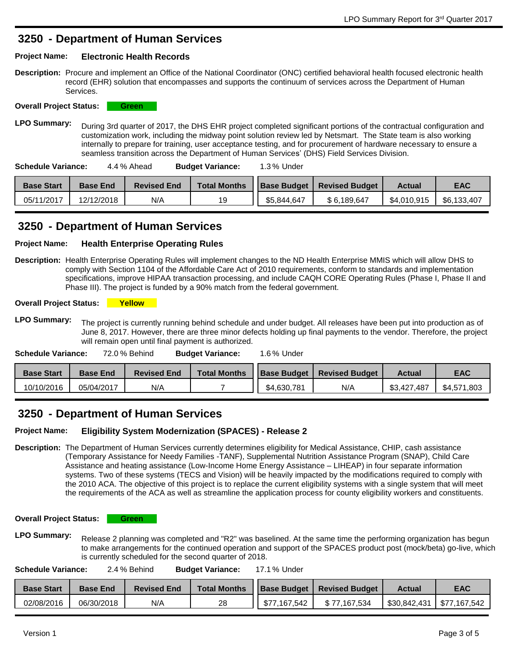### **Department of Human Services 3250 -**

#### **Project Name: Electronic Health Records**

**Description:** Procure and implement an Office of the National Coordinator (ONC) certified behavioral health focused electronic health record (EHR) solution that encompasses and supports the continuum of services across the Department of Human Services.



LPO Summary: During 3rd quarter of 2017, the DHS EHR project completed significant portions of the contractual configuration and customization work, including the midway point solution review led by Netsmart. The State team is also working internally to prepare for training, user acceptance testing, and for procurement of hardware necessary to ensure a seamless transition across the Department of Human Services' (DHS) Field Services Division.

| <b>Schedule Variance:</b><br>1.3 % Under<br><b>Budget Variance:</b><br>4.4 % Ahead |
|------------------------------------------------------------------------------------|
|------------------------------------------------------------------------------------|

| <b>Base Start</b> | <b>Base End</b> | <b>Revised End</b> | <b>Total Months</b> | <b>Base Budget</b> | <b>Revised Budget</b> | <b>Actual</b> | EAC         |
|-------------------|-----------------|--------------------|---------------------|--------------------|-----------------------|---------------|-------------|
| 05/11/2017        | 12/12/2018      | N/A                | 19                  | \$5,844,647        | \$6.189.647           | \$4,010,915   | \$6,133,407 |

### **Department of Human Services 3250 -**

#### **Project Name: Health Enterprise Operating Rules**

**Description:** Health Enterprise Operating Rules will implement changes to the ND Health Enterprise MMIS which will allow DHS to comply with Section 1104 of the Affordable Care Act of 2010 requirements, conform to standards and implementation specifications, improve HIPAA transaction processing, and include CAQH CORE Operating Rules (Phase I, Phase II and Phase III). The project is funded by a 90% match from the federal government.

**Overall Project Status: Yellow** 

LPO Summary: The project is currently running behind schedule and under budget. All releases have been put into production as of June 8, 2017. However, there are three minor defects holding up final payments to the vendor. Therefore, the project will remain open until final payment is authorized.

| <b>Schedule Variance:</b><br>72.0 % Behind |                 |                    | <b>Budget Variance:</b> | $1.6\%$ Under |                                     |               |             |
|--------------------------------------------|-----------------|--------------------|-------------------------|---------------|-------------------------------------|---------------|-------------|
| <b>Base Start</b>                          | <b>Base End</b> | <b>Revised End</b> | <b>Total Months</b>     |               | <b>Base Budget   Revised Budget</b> | <b>Actual</b> | <b>EAC</b>  |
| 10/10/2016                                 | 05/04/2017      | N/A                |                         | \$4,630,781   | N/A                                 | \$3,427,487   | \$4,571,803 |

### **Department of Human Services 3250 -**

### **Project Name: Eligibility System Modernization (SPACES) - Release 2**

**Description:** The Department of Human Services currently determines eligibility for Medical Assistance, CHIP, cash assistance (Temporary Assistance for Needy Families -TANF), Supplemental Nutrition Assistance Program (SNAP), Child Care Assistance and heating assistance (Low-Income Home Energy Assistance – LIHEAP) in four separate information systems. Two of these systems (TECS and Vision) will be heavily impacted by the modifications required to comply with the 2010 ACA. The objective of this project is to replace the current eligibility systems with a single system that will meet the requirements of the ACA as well as streamline the application process for county eligibility workers and constituents.

**Overall Project Status: Green** 

LPO Summary: Release 2 planning was completed and "R2" was baselined. At the same time the performing organization has begun to make arrangements for the continued operation and support of the SPACES product post (mock/beta) go-live, which is currently scheduled for the second quarter of 2018.

| Schedule Variance: | 2.4 % Behind | <b>Budget Variance:</b> | 17.1 % Under |
|--------------------|--------------|-------------------------|--------------|
|--------------------|--------------|-------------------------|--------------|

| <b>Base Start</b> | <b>Base End</b> | <b>Revised End</b> | <b>Total Months</b> |              | <b>Base Budget   Revised Budget</b> | <b>Actual</b> | EAC          |
|-------------------|-----------------|--------------------|---------------------|--------------|-------------------------------------|---------------|--------------|
| 02/08/2016        | 06/30/2018      | N/A                | 28                  | \$77.167.542 | \$77.167.534                        | \$30.842.431  | \$77.167.542 |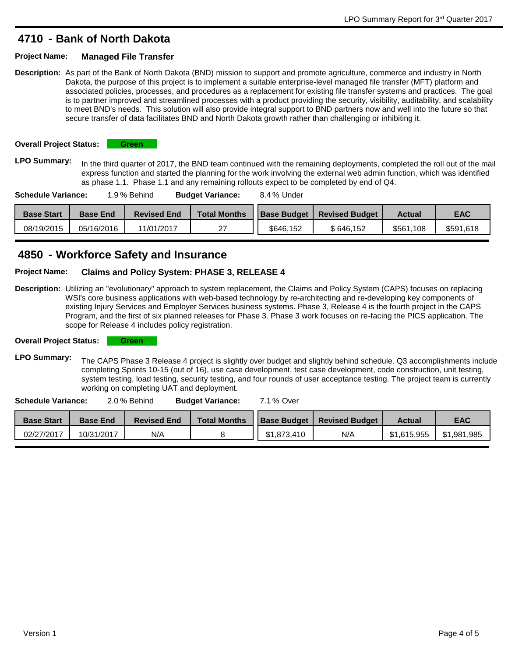### **Bank of North Dakota 4710 -**

#### **Project Name: Managed File Transfer**

**Description:** As part of the Bank of North Dakota (BND) mission to support and promote agriculture, commerce and industry in North Dakota, the purpose of this project is to implement a suitable enterprise-level managed file transfer (MFT) platform and associated policies, processes, and procedures as a replacement for existing file transfer systems and practices. The goal is to partner improved and streamlined processes with a product providing the security, visibility, auditability, and scalability to meet BND's needs. This solution will also provide integral support to BND partners now and well into the future so that secure transfer of data facilitates BND and North Dakota growth rather than challenging or inhibiting it.

**Overall Project Status: Green** 

LPO Summary: In the third quarter of 2017, the BND team continued with the remaining deployments, completed the roll out of the mail express function and started the planning for the work involving the external web admin function, which was identified as phase 1.1. Phase 1.1 and any remaining rollouts expect to be completed by end of Q4.

| <b>Schedule Variance:</b><br>1.9 % Behind |                   |                 | <b>Budget Variance:</b> | 8.4 % Under         |                    |                       |               |            |
|-------------------------------------------|-------------------|-----------------|-------------------------|---------------------|--------------------|-----------------------|---------------|------------|
|                                           | <b>Base Start</b> | <b>Base End</b> | <b>Revised End</b>      | <b>Total Months</b> | <b>Base Budget</b> | <b>Revised Budget</b> | <b>Actual</b> | <b>EAC</b> |
|                                           | 08/19/2015        | 05/16/2016      | 11/01/2017              | 27                  | \$646.152          | \$646,152             | \$561,108     | \$591,618  |

## **Workforce Safety and Insurance 4850 -**

**Project Name: Claims and Policy System: PHASE 3, RELEASE 4**

**Description:** Utilizing an "evolutionary" approach to system replacement, the Claims and Policy System (CAPS) focuses on replacing WSI's core business applications with web-based technology by re-architecting and re-developing key components of existing Injury Services and Employer Services business systems. Phase 3, Release 4 is the fourth project in the CAPS Program, and the first of six planned releases for Phase 3. Phase 3 work focuses on re-facing the PICS application. The scope for Release 4 includes policy registration.

**Overall Project Status: Green** 

LPO Summary: The CAPS Phase 3 Release 4 project is slightly over budget and slightly behind schedule. Q3 accomplishments include completing Sprints 10-15 (out of 16), use case development, test case development, code construction, unit testing, system testing, load testing, security testing, and four rounds of user acceptance testing. The project team is currently working on completing UAT and deployment.

| <b>Schedule Variance:</b> |                 | 2.0 % Behind       | <b>Budget Variance:</b> | 7.1 % Over         |                       |               |             |
|---------------------------|-----------------|--------------------|-------------------------|--------------------|-----------------------|---------------|-------------|
| <b>Base Start</b>         | <b>Base End</b> | <b>Revised End</b> | <b>Total Months</b>     | <b>Base Budget</b> | <b>Revised Budget</b> | <b>Actual</b> | <b>EAC</b>  |
| 02/27/2017                | 10/31/2017      | N/A                |                         | \$1,873,410        | N/A                   | \$1.615.955   | \$1,981,985 |